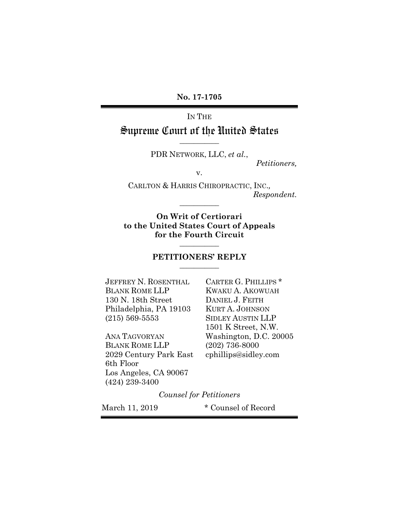IN THE

## Supreme Court of the United States **\_\_\_\_\_\_\_\_\_\_\_**

PDR NETWORK, LLC, *et al.*,

*Petitioners,* 

v.

CARLTON & HARRIS CHIROPRACTIC, INC.*, Respondent.* 

**On Writ of Certiorari to the United States Court of Appeals for the Fourth Circuit** 

**\_\_\_\_\_\_\_\_\_\_\_** 

#### **PETITIONERS' REPLY \_\_\_\_\_\_\_\_\_\_\_**

**\_\_\_\_\_\_\_\_\_\_\_** 

JEFFREY N. ROSENTHAL CARTER G. PHILLIPS \* BLANK ROME LLP KWAKU A. AKOWUAH 130 N. 18th Street DANIEL J. FEITH Philadelphia, PA 19103 KURT A. JOHNSON (215) 569-5553 SIDLEY AUSTIN LLP

BLANK ROME LLP (202) 736-8000 2029 Century Park East cphillips@sidley.com 6th Floor Los Angeles, CA 90067 (424) 239-3400

 1501 K Street, N.W. ANA TAGVORYAN Washington, D.C. 20005

*Counsel for Petitioners* 

March 11, 2019 \* Counsel of Record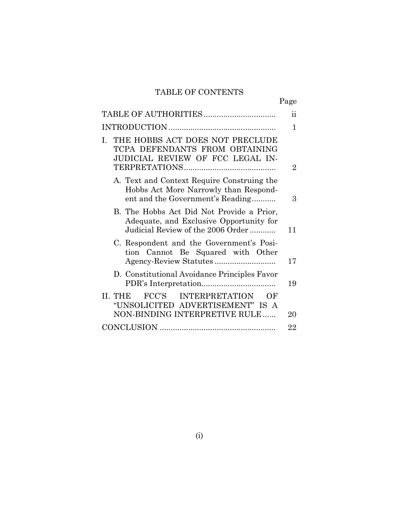# TABLE OF CONTENTS

Page

|                                                                                                                           | $\ddot{\textbf{i}}$ |
|---------------------------------------------------------------------------------------------------------------------------|---------------------|
|                                                                                                                           | 1                   |
| THE HOBBS ACT DOES NOT PRECLUDE<br>$\mathbf{I}$ .<br>TCPA DEFENDANTS FROM OBTAINING<br>JUDICIAL REVIEW OF FCC LEGAL IN-   | 2                   |
| A. Text and Context Require Construing the<br>Hobbs Act More Narrowly than Respond-<br>ent and the Government's Reading   | З                   |
| B. The Hobbs Act Did Not Provide a Prior,<br>Adequate, and Exclusive Opportunity for<br>Judicial Review of the 2006 Order | 11                  |
| C. Respondent and the Government's Posi-<br>tion Cannot Be Squared with Other                                             | 17                  |
| D. Constitutional Avoidance Principles Favor                                                                              | 19                  |
| FCC'S INTERPRETATION<br>II. THE<br>OF<br>"UNSOLICITED ADVERTISEMENT" IS A<br>NON-BINDING INTERPRETIVE RULE                | 20                  |
|                                                                                                                           | 22                  |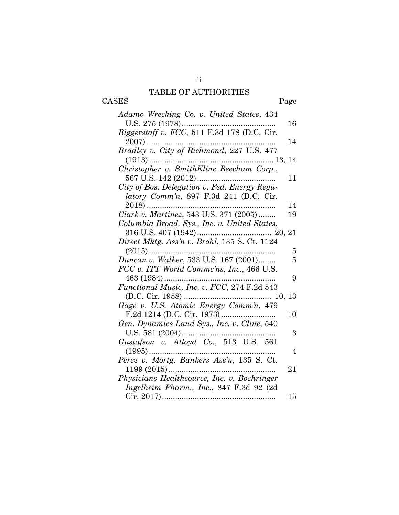# TABLE OF AUTHORITIES

ii

|       | -------------------- |      |
|-------|----------------------|------|
| CASES |                      | Page |
|       |                      |      |

| Adamo Wrecking Co. v. United States, 434     |                |
|----------------------------------------------|----------------|
|                                              | 16             |
| Biggerstaff v. FCC, 511 F.3d 178 (D.C. Cir.  |                |
| $2007)$                                      | 14             |
| Bradley v. City of Richmond, 227 U.S. 477    |                |
|                                              |                |
| Christopher v. SmithKline Beecham Corp.,     |                |
|                                              | 11             |
| City of Bos. Delegation v. Fed. Energy Regu- |                |
| latory Comm'n, 897 F.3d 241 (D.C. Cir.       |                |
| $2018)$                                      | 14             |
| Clark v. Martinez, 543 U.S. 371 (2005)       | 19             |
| Columbia Broad. Sys., Inc. v. United States, |                |
|                                              |                |
| Direct Mktg. Ass'n v. Brohl, 135 S. Ct. 1124 |                |
| $(2015)$                                     | 5              |
| Duncan v. Walker, 533 U.S. 167 (2001)        | 5              |
| FCC v. ITT World Commc'ns, Inc., 466 U.S.    |                |
| $463(1984)$                                  | 9              |
| Functional Music, Inc. v. FCC, 274 F.2d 543  |                |
|                                              |                |
| Gage v. U.S. Atomic Energy Comm'n, 479       |                |
|                                              | 10             |
| Gen. Dynamics Land Sys., Inc. v. Cline, 540  |                |
| U.S. 581 (2004)                              | 3              |
| Gustafson v. Alloyd Co., 513 U.S. 561        |                |
|                                              | $\overline{4}$ |
| Perez v. Mortg. Bankers Ass'n, 135 S. Ct.    |                |
|                                              | 21             |
| Physicians Healthsource, Inc. v. Boehringer  |                |
| Ingelheim Pharm., Inc., 847 F.3d 92 (2d)     |                |
|                                              | 15             |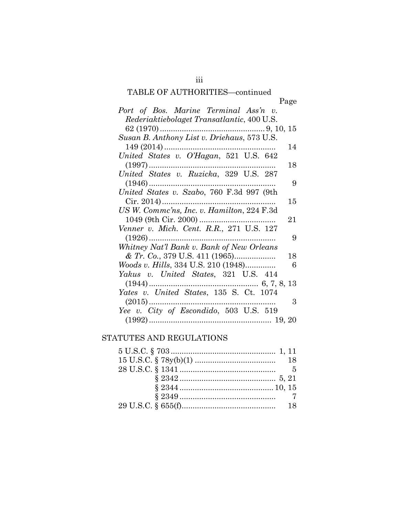# TABLE OF AUTHORITIES—continued

| TADLE OF AUTHONITIES—continued                                                                                                                                                                                                                                                                                            |
|---------------------------------------------------------------------------------------------------------------------------------------------------------------------------------------------------------------------------------------------------------------------------------------------------------------------------|
| Page                                                                                                                                                                                                                                                                                                                      |
| Port of Bos. Marine Terminal Ass'n v.                                                                                                                                                                                                                                                                                     |
| Rederiaktiebolaget Transatlantic, 400 U.S.                                                                                                                                                                                                                                                                                |
|                                                                                                                                                                                                                                                                                                                           |
| Susan B. Anthony List v. Driehaus, 573 U.S.                                                                                                                                                                                                                                                                               |
| 14                                                                                                                                                                                                                                                                                                                        |
| $149 (2014) \dots 149 (2014) \dots 149 (2014) \dots 149 (2014) \dots 149 (2014) \dots 149 (2014) \dots 149 (2014) \dots 149 (2014) \dots 149 (2014) \dots 149 (2014) \dots 149 (2014) \dots 149 (2014) \dots 149 (2014) \dots 149 (2014) \dots 149 (2014) \dots 149 (2014) \dots 149 (2014) \dots 149 (2014) \dots 149 ($ |
| 18                                                                                                                                                                                                                                                                                                                        |
| $United States v. Ruzicka, 329 U.S. 287$                                                                                                                                                                                                                                                                                  |
| 9                                                                                                                                                                                                                                                                                                                         |
|                                                                                                                                                                                                                                                                                                                           |
| 15                                                                                                                                                                                                                                                                                                                        |
|                                                                                                                                                                                                                                                                                                                           |
| 21                                                                                                                                                                                                                                                                                                                        |
| Venner v. Mich. Cent. R.R., 271 U.S. 127                                                                                                                                                                                                                                                                                  |
| 9                                                                                                                                                                                                                                                                                                                         |
| Whitney Nat'l Bank v. Bank of New Orleans                                                                                                                                                                                                                                                                                 |
| 18                                                                                                                                                                                                                                                                                                                        |
| <i>Woods v. Hills</i> , 334 U.S. 210 (1948)<br>6                                                                                                                                                                                                                                                                          |
| Yakus v. United States, 321 U.S. 414                                                                                                                                                                                                                                                                                      |
|                                                                                                                                                                                                                                                                                                                           |
| Yates v. United States, 135 S. Ct. 1074                                                                                                                                                                                                                                                                                   |
| 3                                                                                                                                                                                                                                                                                                                         |
| Yee v. City of Escondido, 503 U.S. 519                                                                                                                                                                                                                                                                                    |
|                                                                                                                                                                                                                                                                                                                           |

## STATUTES AND REGULATIONS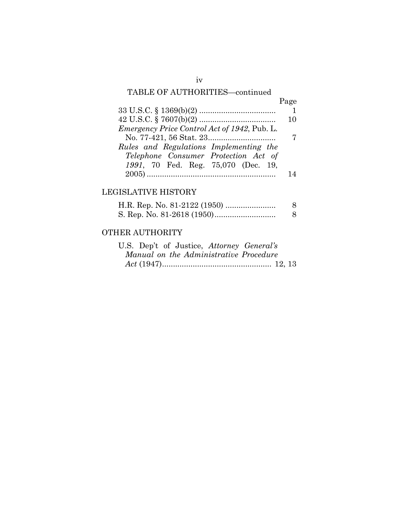# TABLE OF AUTHORITIES—continued

|                                                     | Page |
|-----------------------------------------------------|------|
|                                                     |      |
|                                                     | 10   |
| <i>Emergency Price Control Act of 1942, Pub. L.</i> |      |
|                                                     |      |
| Rules and Regulations Implementing the              |      |
| Telephone Consumer Protection Act of                |      |
| 1991, 70 Fed. Reg. 75,070 (Dec. 19,                 |      |
|                                                     |      |

# LEGISLATIVE HISTORY

## OTHER AUTHORITY

|  |  | U.S. Dep't of Justice, Attorney General's |  |  |
|--|--|-------------------------------------------|--|--|
|  |  | Manual on the Administrative Procedure    |  |  |
|  |  |                                           |  |  |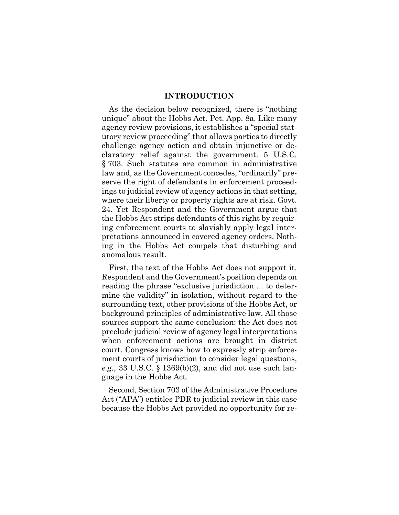#### **INTRODUCTION**

As the decision below recognized, there is "nothing unique" about the Hobbs Act. Pet. App. 8a. Like many agency review provisions, it establishes a "special statutory review proceeding" that allows parties to directly challenge agency action and obtain injunctive or declaratory relief against the government. 5 U.S.C. § 703. Such statutes are common in administrative law and, as the Government concedes, "ordinarily" preserve the right of defendants in enforcement proceedings to judicial review of agency actions in that setting, where their liberty or property rights are at risk. Govt. 24. Yet Respondent and the Government argue that the Hobbs Act strips defendants of this right by requiring enforcement courts to slavishly apply legal interpretations announced in covered agency orders. Nothing in the Hobbs Act compels that disturbing and anomalous result.

First, the text of the Hobbs Act does not support it. Respondent and the Government's position depends on reading the phrase "exclusive jurisdiction ... to determine the validity" in isolation, without regard to the surrounding text, other provisions of the Hobbs Act, or background principles of administrative law. All those sources support the same conclusion: the Act does not preclude judicial review of agency legal interpretations when enforcement actions are brought in district court. Congress knows how to expressly strip enforcement courts of jurisdiction to consider legal questions, *e.g.*, 33 U.S.C. § 1369(b)(2), and did not use such language in the Hobbs Act.

Second, Section 703 of the Administrative Procedure Act ("APA") entitles PDR to judicial review in this case because the Hobbs Act provided no opportunity for re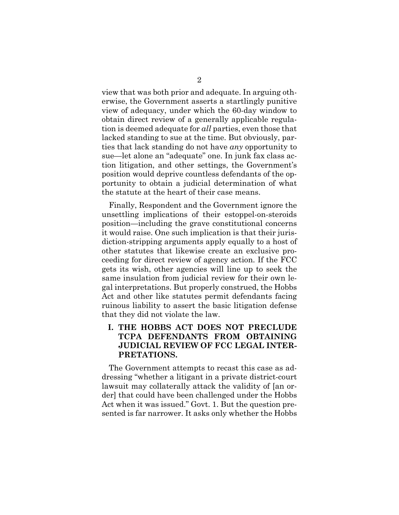view that was both prior and adequate. In arguing otherwise, the Government asserts a startlingly punitive view of adequacy, under which the 60-day window to obtain direct review of a generally applicable regulation is deemed adequate for *all* parties, even those that lacked standing to sue at the time. But obviously, parties that lack standing do not have *any* opportunity to sue—let alone an "adequate" one. In junk fax class action litigation, and other settings, the Government's position would deprive countless defendants of the opportunity to obtain a judicial determination of what the statute at the heart of their case means.

Finally, Respondent and the Government ignore the unsettling implications of their estoppel-on-steroids position—including the grave constitutional concerns it would raise. One such implication is that their jurisdiction-stripping arguments apply equally to a host of other statutes that likewise create an exclusive proceeding for direct review of agency action. If the FCC gets its wish, other agencies will line up to seek the same insulation from judicial review for their own legal interpretations. But properly construed, the Hobbs Act and other like statutes permit defendants facing ruinous liability to assert the basic litigation defense that they did not violate the law.

## **I. THE HOBBS ACT DOES NOT PRECLUDE TCPA DEFENDANTS FROM OBTAINING JUDICIAL REVIEW OF FCC LEGAL INTER-PRETATIONS.**

The Government attempts to recast this case as addressing "whether a litigant in a private district-court lawsuit may collaterally attack the validity of [an order] that could have been challenged under the Hobbs Act when it was issued." Govt. 1. But the question presented is far narrower. It asks only whether the Hobbs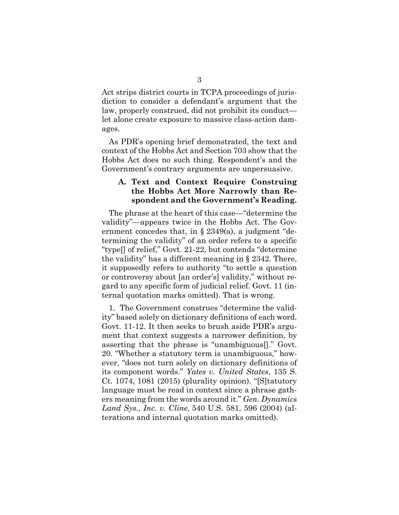Act strips district courts in TCPA proceedings of jurisdiction to consider a defendant's argument that the law, properly construed, did not prohibit its conduct let alone create exposure to massive class-action damages.

As PDR's opening brief demonstrated, the text and context of the Hobbs Act and Section 703 show that the Hobbs Act does no such thing. Respondent's and the Government's contrary arguments are unpersuasive.

### **A. Text and Context Require Construing the Hobbs Act More Narrowly than Respondent and the Government's Reading.**

The phrase at the heart of this case—"determine the validity"—appears twice in the Hobbs Act. The Government concedes that, in  $\S 2349(a)$ , a judgment "determining the validity" of an order refers to a specific "type[] of relief," Govt. 21-22, but contends "determine the validity" has a different meaning in § 2342. There, it supposedly refers to authority "to settle a question or controversy about [an order's] validity," without regard to any specific form of judicial relief. Govt. 11 (internal quotation marks omitted). That is wrong.

1. The Government construes "determine the validity" based solely on dictionary definitions of each word. Govt. 11-12. It then seeks to brush aside PDR's argument that context suggests a narrower definition, by asserting that the phrase is "unambiguous[]." Govt. 20. "Whether a statutory term is unambiguous," however, "does not turn solely on dictionary definitions of its component words." *Yates v. United States*, 135 S. Ct. 1074, 1081 (2015) (plurality opinion). "[S]tatutory language must be read in context since a phrase gathers meaning from the words around it." *Gen. Dynamics Land Sys., Inc. v. Cline,* 540 U.S. 581, 596 (2004) (alterations and internal quotation marks omitted).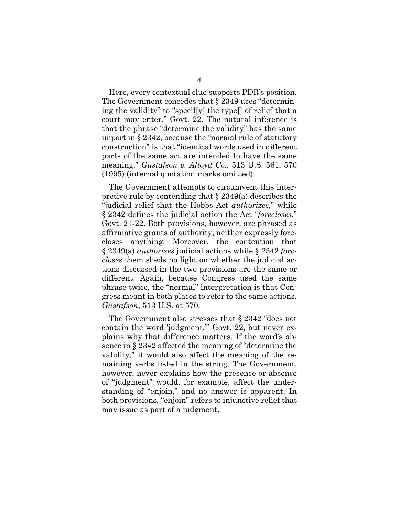Here, every contextual clue supports PDR's position. The Government concedes that § 2349 uses "determining the validity" to "specif[y] the type[] of relief that a court may enter." Govt. 22. The natural inference is that the phrase "determine the validity" has the same import in § 2342, because the "normal rule of statutory construction" is that "identical words used in different parts of the same act are intended to have the same meaning." *Gustafson v. Alloyd Co.*, 513 U.S. 561, 570 (1995) (internal quotation marks omitted).

The Government attempts to circumvent this interpretive rule by contending that § 2349(a) describes the "judicial relief that the Hobbs Act *authorizes*," while § 2342 defines the judicial action the Act "*forecloses*." Govt. 21-22. Both provisions, however, are phrased as affirmative grants of authority; neither expressly forecloses anything. Moreover, the contention that § 2349(a) *authorizes* judicial actions while § 2342 *forecloses* them sheds no light on whether the judicial actions discussed in the two provisions are the same or different. Again, because Congress used the same phrase twice, the "normal" interpretation is that Congress meant in both places to refer to the same actions. *Gustafson*, 513 U.S. at 570.

The Government also stresses that § 2342 "does not contain the word 'judgment,'" Govt. 22, but never explains why that difference matters. If the word's absence in § 2342 affected the meaning of "determine the validity," it would also affect the meaning of the remaining verbs listed in the string. The Government, however, never explains how the presence or absence of "judgment" would, for example, affect the understanding of "enjoin," and no answer is apparent. In both provisions, "enjoin" refers to injunctive relief that may issue as part of a judgment.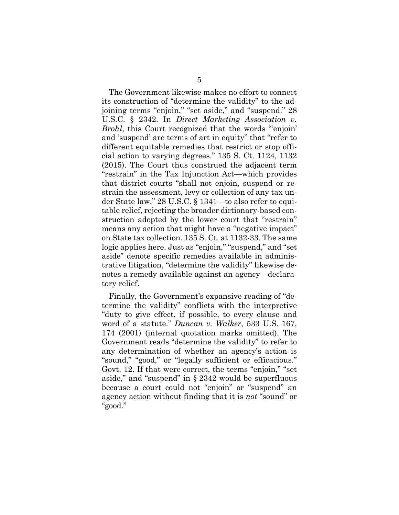The Government likewise makes no effort to connect its construction of "determine the validity" to the adjoining terms "enjoin," "set aside," and "suspend." 28 U.S.C. § 2342. In *Direct Marketing Association v. Brohl*, this Court recognized that the words "enjoin' and 'suspend' are terms of art in equity" that "refer to different equitable remedies that restrict or stop official action to varying degrees." 135 S. Ct. 1124, 1132 (2015). The Court thus construed the adjacent term "restrain" in the Tax Injunction Act—which provides that district courts "shall not enjoin, suspend or restrain the assessment, levy or collection of any tax under State law," 28 U.S.C. § 1341—to also refer to equitable relief, rejecting the broader dictionary-based construction adopted by the lower court that "restrain" means any action that might have a "negative impact" on State tax collection. 135 S. Ct. at 1132-33. The same logic applies here. Just as "enjoin," "suspend," and "set aside" denote specific remedies available in administrative litigation, "determine the validity" likewise denotes a remedy available against an agency—declaratory relief.

Finally, the Government's expansive reading of "determine the validity" conflicts with the interpretive "duty to give effect, if possible, to every clause and word of a statute." *Duncan v. Walker*, 533 U.S. 167, 174 (2001) (internal quotation marks omitted). The Government reads "determine the validity" to refer to any determination of whether an agency's action is "sound," "good," or "legally sufficient or efficacious." Govt. 12. If that were correct, the terms "enjoin," "set aside," and "suspend" in § 2342 would be superfluous because a court could not "enjoin" or "suspend" an agency action without finding that it is *not* "sound" or "good."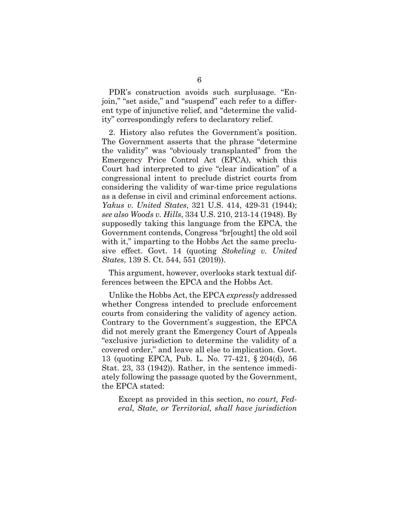PDR's construction avoids such surplusage. "Enjoin," "set aside," and "suspend" each refer to a different type of injunctive relief, and "determine the validity" correspondingly refers to declaratory relief.

2. History also refutes the Government's position. The Government asserts that the phrase "determine the validity" was "obviously transplanted" from the Emergency Price Control Act (EPCA), which this Court had interpreted to give "clear indication" of a congressional intent to preclude district courts from considering the validity of war-time price regulations as a defense in civil and criminal enforcement actions. *Yakus v. United States*, 321 U.S. 414, 429-31 (1944); *see also Woods v. Hills*, 334 U.S. 210, 213-14 (1948). By supposedly taking this language from the EPCA, the Government contends, Congress "br[ought] the old soil with it," imparting to the Hobbs Act the same preclusive effect. Govt. 14 (quoting *Stokeling v. United States*, 139 S. Ct. 544, 551 (2019)).

This argument, however, overlooks stark textual differences between the EPCA and the Hobbs Act.

Unlike the Hobbs Act, the EPCA *expressly* addressed whether Congress intended to preclude enforcement courts from considering the validity of agency action. Contrary to the Government's suggestion, the EPCA did not merely grant the Emergency Court of Appeals "exclusive jurisdiction to determine the validity of a covered order," and leave all else to implication. Govt. 13 (quoting EPCA, Pub. L. No. 77-421, § 204(d), 56 Stat. 23, 33 (1942)). Rather, in the sentence immediately following the passage quoted by the Government, the EPCA stated:

Except as provided in this section, *no court, Federal, State, or Territorial, shall have jurisdiction*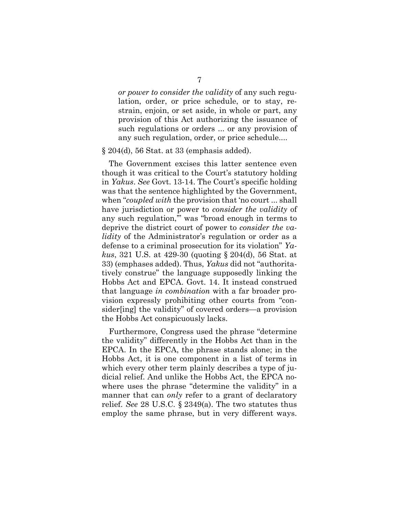*or power to consider the validity* of any such regulation, order, or price schedule, or to stay, restrain, enjoin, or set aside, in whole or part, any provision of this Act authorizing the issuance of such regulations or orders ... or any provision of any such regulation, order, or price schedule....

#### § 204(d), 56 Stat. at 33 (emphasis added).

The Government excises this latter sentence even though it was critical to the Court's statutory holding in *Yakus*. *See* Govt. 13-14. The Court's specific holding was that the sentence highlighted by the Government, when "*coupled with* the provision that 'no court ... shall have jurisdiction or power to *consider the validity* of any such regulation,'" was "broad enough in terms to deprive the district court of power to *consider the validity* of the Administrator's regulation or order as a defense to a criminal prosecution for its violation" *Yakus*, 321 U.S. at 429-30 (quoting § 204(d), 56 Stat. at 33) (emphases added). Thus, *Yakus* did not "authoritatively construe" the language supposedly linking the Hobbs Act and EPCA. Govt. 14. It instead construed that language *in combination* with a far broader provision expressly prohibiting other courts from "consider[ing] the validity" of covered orders—a provision the Hobbs Act conspicuously lacks.

Furthermore, Congress used the phrase "determine the validity" differently in the Hobbs Act than in the EPCA. In the EPCA, the phrase stands alone; in the Hobbs Act, it is one component in a list of terms in which every other term plainly describes a type of judicial relief. And unlike the Hobbs Act, the EPCA nowhere uses the phrase "determine the validity" in a manner that can *only* refer to a grant of declaratory relief. *See* 28 U.S.C. § 2349(a). The two statutes thus employ the same phrase, but in very different ways.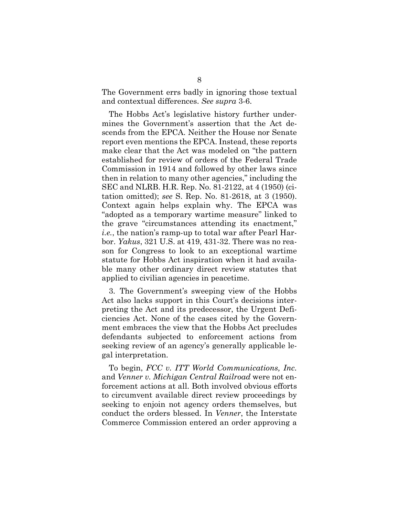The Government errs badly in ignoring those textual and contextual differences. *See supra* 3-6.

The Hobbs Act's legislative history further undermines the Government's assertion that the Act descends from the EPCA. Neither the House nor Senate report even mentions the EPCA. Instead, these reports make clear that the Act was modeled on "the pattern established for review of orders of the Federal Trade Commission in 1914 and followed by other laws since then in relation to many other agencies," including the SEC and NLRB. H.R. Rep. No. 81-2122, at 4 (1950) (citation omitted); *see* S. Rep. No. 81-2618, at 3 (1950). Context again helps explain why. The EPCA was "adopted as a temporary wartime measure" linked to the grave "circumstances attending its enactment," *i.e.*, the nation's ramp-up to total war after Pearl Harbor. *Yakus*, 321 U.S. at 419, 431-32. There was no reason for Congress to look to an exceptional wartime statute for Hobbs Act inspiration when it had available many other ordinary direct review statutes that applied to civilian agencies in peacetime.

3. The Government's sweeping view of the Hobbs Act also lacks support in this Court's decisions interpreting the Act and its predecessor, the Urgent Deficiencies Act. None of the cases cited by the Government embraces the view that the Hobbs Act precludes defendants subjected to enforcement actions from seeking review of an agency's generally applicable legal interpretation.

To begin, *FCC v. ITT World Communications, Inc.* and *Venner v. Michigan Central Railroad* were not enforcement actions at all. Both involved obvious efforts to circumvent available direct review proceedings by seeking to enjoin not agency orders themselves, but conduct the orders blessed. In *Venner*, the Interstate Commerce Commission entered an order approving a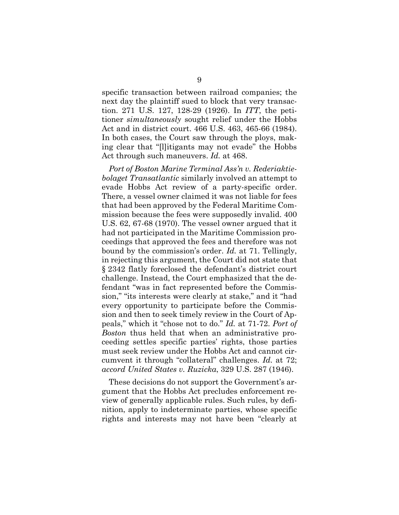specific transaction between railroad companies; the next day the plaintiff sued to block that very transaction. 271 U.S. 127, 128-29 (1926). In *ITT*, the petitioner *simultaneously* sought relief under the Hobbs Act and in district court. 466 U.S. 463, 465-66 (1984). In both cases, the Court saw through the ploys, making clear that "[l]itigants may not evade" the Hobbs Act through such maneuvers. *Id.* at 468.

*Port of Boston Marine Terminal Ass'n v. Rederiaktiebolaget Transatlantic* similarly involved an attempt to evade Hobbs Act review of a party-specific order. There, a vessel owner claimed it was not liable for fees that had been approved by the Federal Maritime Commission because the fees were supposedly invalid. 400 U.S. 62, 67-68 (1970). The vessel owner argued that it had not participated in the Maritime Commission proceedings that approved the fees and therefore was not bound by the commission's order. *Id.* at 71. Tellingly, in rejecting this argument, the Court did not state that § 2342 flatly foreclosed the defendant's district court challenge. Instead, the Court emphasized that the defendant "was in fact represented before the Commission," "its interests were clearly at stake," and it "had every opportunity to participate before the Commission and then to seek timely review in the Court of Appeals," which it "chose not to do." *Id.* at 71-72. *Port of Boston* thus held that when an administrative proceeding settles specific parties' rights, those parties must seek review under the Hobbs Act and cannot circumvent it through "collateral" challenges. *Id.* at 72; *accord United States v. Ruzicka*, 329 U.S. 287 (1946).

These decisions do not support the Government's argument that the Hobbs Act precludes enforcement review of generally applicable rules. Such rules, by definition, apply to indeterminate parties, whose specific rights and interests may not have been "clearly at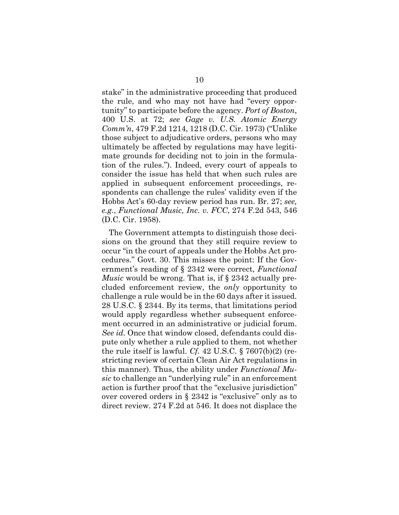stake" in the administrative proceeding that produced the rule, and who may not have had "every opportunity" to participate before the agency. *Port of Boston*, 400 U.S. at 72; *see Gage v. U.S. Atomic Energy Comm'n*, 479 F.2d 1214, 1218 (D.C. Cir. 1973) ("Unlike those subject to adjudicative orders, persons who may ultimately be affected by regulations may have legitimate grounds for deciding not to join in the formulation of the rules."). Indeed, every court of appeals to consider the issue has held that when such rules are applied in subsequent enforcement proceedings, respondents can challenge the rules' validity even if the Hobbs Act's 60-day review period has run. Br. 27; *see, e.g.*, *Functional Music, Inc. v. FCC*, 274 F.2d 543, 546 (D.C. Cir. 1958).

The Government attempts to distinguish those decisions on the ground that they still require review to occur "in the court of appeals under the Hobbs Act procedures." Govt. 30. This misses the point: If the Government's reading of § 2342 were correct, *Functional Music* would be wrong. That is, if  $\S 2342$  actually precluded enforcement review, the *only* opportunity to challenge a rule would be in the 60 days after it issued. 28 U.S.C. § 2344. By its terms, that limitations period would apply regardless whether subsequent enforcement occurred in an administrative or judicial forum. *See id.* Once that window closed, defendants could dispute only whether a rule applied to them, not whether the rule itself is lawful. *Cf.* 42 U.S.C. § 7607(b)(2) (restricting review of certain Clean Air Act regulations in this manner). Thus, the ability under *Functional Music* to challenge an "underlying rule" in an enforcement action is further proof that the "exclusive jurisdiction" over covered orders in § 2342 is "exclusive" only as to direct review. 274 F.2d at 546. It does not displace the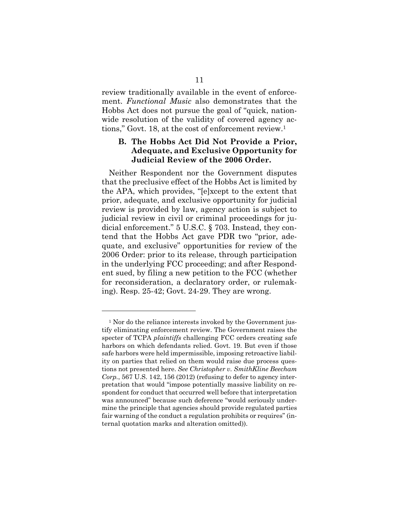review traditionally available in the event of enforcement. *Functional Music* also demonstrates that the Hobbs Act does not pursue the goal of "quick, nationwide resolution of the validity of covered agency actions," Govt. 18, at the cost of enforcement review.1

### **B. The Hobbs Act Did Not Provide a Prior, Adequate, and Exclusive Opportunity for Judicial Review of the 2006 Order.**

Neither Respondent nor the Government disputes that the preclusive effect of the Hobbs Act is limited by the APA, which provides, "[e]xcept to the extent that prior, adequate, and exclusive opportunity for judicial review is provided by law, agency action is subject to judicial review in civil or criminal proceedings for judicial enforcement." 5 U.S.C. § 703. Instead, they contend that the Hobbs Act gave PDR two "prior, adequate, and exclusive" opportunities for review of the 2006 Order: prior to its release, through participation in the underlying FCC proceeding; and after Respondent sued, by filing a new petition to the FCC (whether for reconsideration, a declaratory order, or rulemaking). Resp. 25-42; Govt. 24-29. They are wrong.

l

<sup>&</sup>lt;sup>1</sup> Nor do the reliance interests invoked by the Government justify eliminating enforcement review. The Government raises the specter of TCPA *plaintiffs* challenging FCC orders creating safe harbors on which defendants relied. Govt. 19. But even if those safe harbors were held impermissible, imposing retroactive liability on parties that relied on them would raise due process questions not presented here. *See Christopher v. SmithKline Beecham Corp.*, 567 U.S. 142, 156 (2012) (refusing to defer to agency interpretation that would "impose potentially massive liability on respondent for conduct that occurred well before that interpretation was announced" because such deference "would seriously undermine the principle that agencies should provide regulated parties fair warning of the conduct a regulation prohibits or requires" (internal quotation marks and alteration omitted)).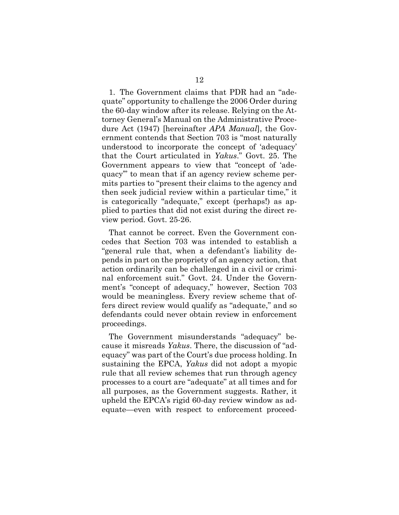1. The Government claims that PDR had an "adequate" opportunity to challenge the 2006 Order during the 60-day window after its release. Relying on the Attorney General's Manual on the Administrative Procedure Act (1947) [hereinafter *APA Manual*], the Government contends that Section 703 is "most naturally understood to incorporate the concept of 'adequacy' that the Court articulated in *Yakus*." Govt. 25. The Government appears to view that "concept of 'adequacy'" to mean that if an agency review scheme permits parties to "present their claims to the agency and then seek judicial review within a particular time," it is categorically "adequate," except (perhaps!) as applied to parties that did not exist during the direct review period. Govt. 25-26.

That cannot be correct. Even the Government concedes that Section 703 was intended to establish a "general rule that, when a defendant's liability depends in part on the propriety of an agency action, that action ordinarily can be challenged in a civil or criminal enforcement suit." Govt. 24. Under the Government's "concept of adequacy," however, Section 703 would be meaningless. Every review scheme that offers direct review would qualify as "adequate," and so defendants could never obtain review in enforcement proceedings.

The Government misunderstands "adequacy" because it misreads *Yakus*. There, the discussion of "adequacy" was part of the Court's due process holding. In sustaining the EPCA, *Yakus* did not adopt a myopic rule that all review schemes that run through agency processes to a court are "adequate" at all times and for all purposes, as the Government suggests. Rather, it upheld the EPCA's rigid 60-day review window as adequate—even with respect to enforcement proceed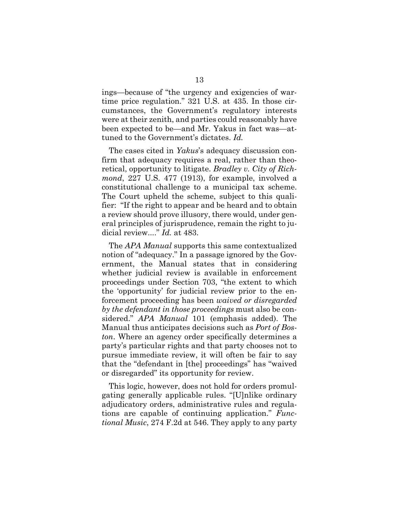ings—because of "the urgency and exigencies of wartime price regulation." 321 U.S. at 435. In those circumstances, the Government's regulatory interests were at their zenith, and parties could reasonably have been expected to be—and Mr. Yakus in fact was—attuned to the Government's dictates. *Id.*

The cases cited in *Yakus*'s adequacy discussion confirm that adequacy requires a real, rather than theoretical, opportunity to litigate. *Bradley v. City of Richmond*, 227 U.S. 477 (1913), for example, involved a constitutional challenge to a municipal tax scheme. The Court upheld the scheme, subject to this qualifier: "If the right to appear and be heard and to obtain a review should prove illusory, there would, under general principles of jurisprudence, remain the right to judicial review...." *Id.* at 483.

The *APA Manual* supports this same contextualized notion of "adequacy." In a passage ignored by the Government, the Manual states that in considering whether judicial review is available in enforcement proceedings under Section 703, "the extent to which the 'opportunity' for judicial review prior to the enforcement proceeding has been *waived or disregarded by the defendant in those proceedings* must also be considered." *APA Manual* 101 (emphasis added). The Manual thus anticipates decisions such as *Port of Boston*. Where an agency order specifically determines a party's particular rights and that party chooses not to pursue immediate review, it will often be fair to say that the "defendant in [the] proceedings" has "waived or disregarded" its opportunity for review.

This logic, however, does not hold for orders promulgating generally applicable rules. "[U]nlike ordinary adjudicatory orders, administrative rules and regulations are capable of continuing application." *Functional Music*, 274 F.2d at 546. They apply to any party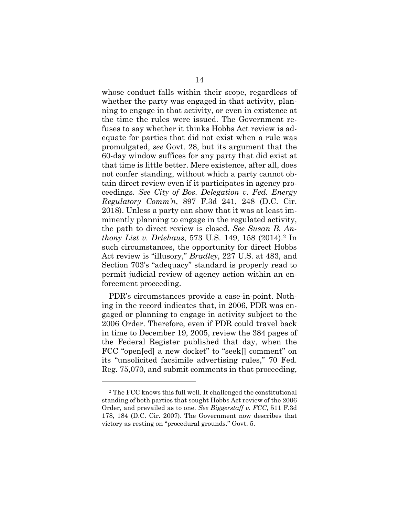whose conduct falls within their scope, regardless of whether the party was engaged in that activity, planning to engage in that activity, or even in existence at the time the rules were issued. The Government refuses to say whether it thinks Hobbs Act review is adequate for parties that did not exist when a rule was promulgated, *see* Govt. 28, but its argument that the 60-day window suffices for any party that did exist at that time is little better. Mere existence, after all, does not confer standing, without which a party cannot obtain direct review even if it participates in agency proceedings. *See City of Bos. Delegation v. Fed. Energy Regulatory Comm'n*, 897 F.3d 241, 248 (D.C. Cir. 2018). Unless a party can show that it was at least imminently planning to engage in the regulated activity, the path to direct review is closed. *See Susan B. Anthony List v. Driehaus*, 573 U.S. 149, 158 (2014).2 In such circumstances, the opportunity for direct Hobbs Act review is "illusory," *Bradley*, 227 U.S. at 483, and Section 703's "adequacy" standard is properly read to permit judicial review of agency action within an enforcement proceeding.

PDR's circumstances provide a case-in-point. Nothing in the record indicates that, in 2006, PDR was engaged or planning to engage in activity subject to the 2006 Order. Therefore, even if PDR could travel back in time to December 19, 2005, review the 384 pages of the Federal Register published that day, when the FCC "open[ed] a new docket" to "seek[] comment" on its "unsolicited facsimile advertising rules," 70 Fed. Reg. 75,070, and submit comments in that proceeding,

l

<sup>2</sup> The FCC knows this full well. It challenged the constitutional standing of both parties that sought Hobbs Act review of the 2006 Order, and prevailed as to one. *See Biggerstaff v. FCC*, 511 F.3d 178, 184 (D.C. Cir. 2007). The Government now describes that victory as resting on "procedural grounds." Govt. 5.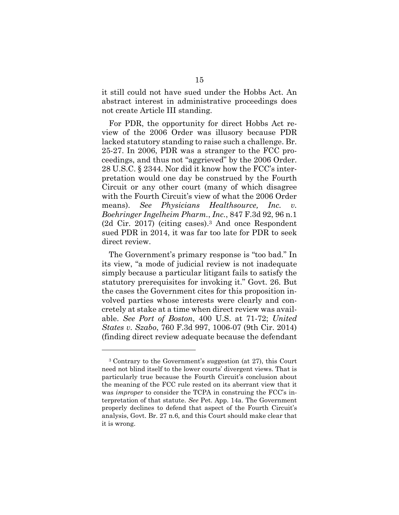it still could not have sued under the Hobbs Act. An abstract interest in administrative proceedings does not create Article III standing.

For PDR, the opportunity for direct Hobbs Act review of the 2006 Order was illusory because PDR lacked statutory standing to raise such a challenge. Br. 25-27. In 2006, PDR was a stranger to the FCC proceedings, and thus not "aggrieved" by the 2006 Order. 28 U.S.C. § 2344. Nor did it know how the FCC's interpretation would one day be construed by the Fourth Circuit or any other court (many of which disagree with the Fourth Circuit's view of what the 2006 Order means). *See Physicians Healthsource, Inc. v. Boehringer Ingelheim Pharm.*, *Inc.*, 847 F.3d 92, 96 n.1 (2d Cir. 2017) (citing cases).3 And once Respondent sued PDR in 2014, it was far too late for PDR to seek direct review.

The Government's primary response is "too bad." In its view, "a mode of judicial review is not inadequate simply because a particular litigant fails to satisfy the statutory prerequisites for invoking it." Govt. 26. But the cases the Government cites for this proposition involved parties whose interests were clearly and concretely at stake at a time when direct review was available. *See Port of Boston*, 400 U.S. at 71-72; *United States v. Szabo*, 760 F.3d 997, 1006-07 (9th Cir. 2014) (finding direct review adequate because the defendant

l

<sup>3</sup> Contrary to the Government's suggestion (at 27), this Court need not blind itself to the lower courts' divergent views. That is particularly true because the Fourth Circuit's conclusion about the meaning of the FCC rule rested on its aberrant view that it was *improper* to consider the TCPA in construing the FCC's interpretation of that statute. *See* Pet. App. 14a. The Government properly declines to defend that aspect of the Fourth Circuit's analysis, Govt. Br. 27 n.6, and this Court should make clear that it is wrong.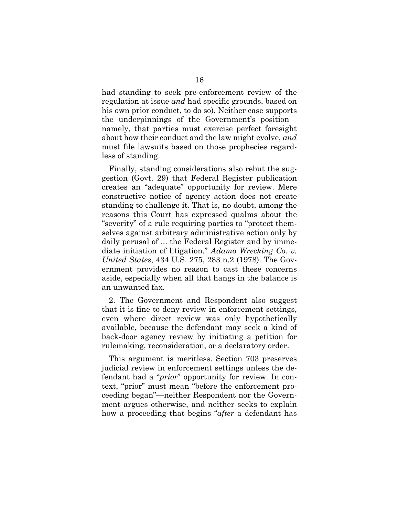had standing to seek pre-enforcement review of the regulation at issue *and* had specific grounds, based on his own prior conduct, to do so). Neither case supports the underpinnings of the Government's position namely, that parties must exercise perfect foresight about how their conduct and the law might evolve, *and* must file lawsuits based on those prophecies regardless of standing.

Finally, standing considerations also rebut the suggestion (Govt. 29) that Federal Register publication creates an "adequate" opportunity for review. Mere constructive notice of agency action does not create standing to challenge it. That is, no doubt, among the reasons this Court has expressed qualms about the "severity" of a rule requiring parties to "protect themselves against arbitrary administrative action only by daily perusal of ... the Federal Register and by immediate initiation of litigation." *Adamo Wrecking Co. v. United States*, 434 U.S. 275, 283 n.2 (1978). The Government provides no reason to cast these concerns aside, especially when all that hangs in the balance is an unwanted fax.

2. The Government and Respondent also suggest that it is fine to deny review in enforcement settings, even where direct review was only hypothetically available, because the defendant may seek a kind of back-door agency review by initiating a petition for rulemaking, reconsideration, or a declaratory order.

This argument is meritless. Section 703 preserves judicial review in enforcement settings unless the defendant had a "*prior*" opportunity for review. In context, "prior" must mean "before the enforcement proceeding began"—neither Respondent nor the Government argues otherwise, and neither seeks to explain how a proceeding that begins "*after* a defendant has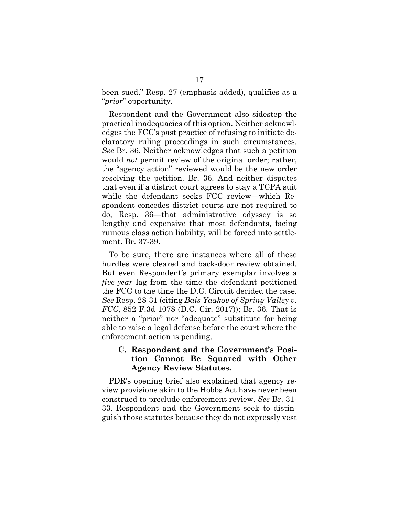been sued," Resp. 27 (emphasis added), qualifies as a "*prior*" opportunity.

Respondent and the Government also sidestep the practical inadequacies of this option. Neither acknowledges the FCC's past practice of refusing to initiate declaratory ruling proceedings in such circumstances. *See* Br. 36. Neither acknowledges that such a petition would *not* permit review of the original order; rather, the "agency action" reviewed would be the new order resolving the petition. Br. 36. And neither disputes that even if a district court agrees to stay a TCPA suit while the defendant seeks FCC review—which Respondent concedes district courts are not required to do, Resp. 36—that administrative odyssey is so lengthy and expensive that most defendants, facing ruinous class action liability, will be forced into settlement. Br. 37-39.

To be sure, there are instances where all of these hurdles were cleared and back-door review obtained. But even Respondent's primary exemplar involves a *five-year* lag from the time the defendant petitioned the FCC to the time the D.C. Circuit decided the case. *See* Resp. 28-31 (citing *Bais Yaakov of Spring Valley v. FCC*, 852 F.3d 1078 (D.C. Cir. 2017)); Br. 36. That is neither a "prior" nor "adequate" substitute for being able to raise a legal defense before the court where the enforcement action is pending.

### **C. Respondent and the Government's Position Cannot Be Squared with Other Agency Review Statutes.**

PDR's opening brief also explained that agency review provisions akin to the Hobbs Act have never been construed to preclude enforcement review. *See* Br. 31- 33. Respondent and the Government seek to distinguish those statutes because they do not expressly vest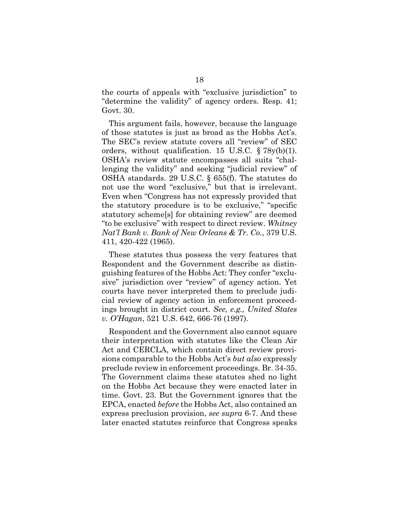the courts of appeals with "exclusive jurisdiction" to "determine the validity" of agency orders. Resp. 41; Govt. 30.

This argument fails, however, because the language of those statutes is just as broad as the Hobbs Act's. The SEC's review statute covers all "review" of SEC orders, without qualification. 15 U.S.C. § 78y(b)(1). OSHA's review statute encompasses all suits "challenging the validity" and seeking "judicial review" of OSHA standards. 29 U.S.C. § 655(f). The statutes do not use the word "exclusive," but that is irrelevant. Even when "Congress has not expressly provided that the statutory procedure is to be exclusive," "specific statutory scheme[s] for obtaining review" are deemed "to be exclusive" with respect to direct review. *Whitney Nat'l Bank v. Bank of New Orleans & Tr. Co.*, 379 U.S. 411, 420-422 (1965).

These statutes thus possess the very features that Respondent and the Government describe as distinguishing features of the Hobbs Act: They confer "exclusive" jurisdiction over "review" of agency action. Yet courts have never interpreted them to preclude judicial review of agency action in enforcement proceedings brought in district court. *See, e.g., United States v. O'Hagan*, 521 U.S. 642, 666-76 (1997).

Respondent and the Government also cannot square their interpretation with statutes like the Clean Air Act and CERCLA, which contain direct review provisions comparable to the Hobbs Act's *but also* expressly preclude review in enforcement proceedings. Br. 34-35. The Government claims these statutes shed no light on the Hobbs Act because they were enacted later in time. Govt. 23. But the Government ignores that the EPCA, enacted *before* the Hobbs Act, also contained an express preclusion provision, *see supra* 6-7. And these later enacted statutes reinforce that Congress speaks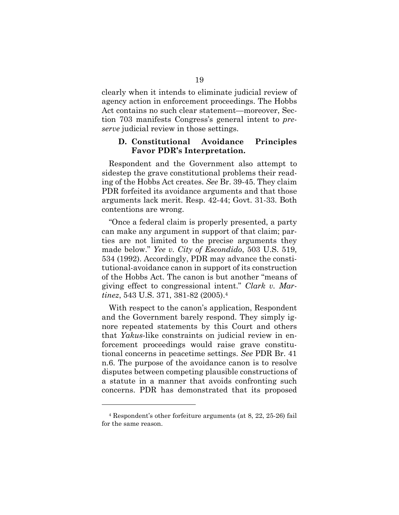clearly when it intends to eliminate judicial review of agency action in enforcement proceedings. The Hobbs Act contains no such clear statement—moreover, Section 703 manifests Congress's general intent to *preserve* judicial review in those settings.

#### **D. Constitutional Avoidance Principles Favor PDR's Interpretation.**

Respondent and the Government also attempt to sidestep the grave constitutional problems their reading of the Hobbs Act creates. *See* Br. 39-45. They claim PDR forfeited its avoidance arguments and that those arguments lack merit. Resp. 42-44; Govt. 31-33. Both contentions are wrong.

"Once a federal claim is properly presented, a party can make any argument in support of that claim; parties are not limited to the precise arguments they made below." *Yee v. City of Escondido*, 503 U.S. 519, 534 (1992). Accordingly, PDR may advance the constitutional-avoidance canon in support of its construction of the Hobbs Act. The canon is but another "means of giving effect to congressional intent." *Clark v. Martinez*, 543 U.S. 371, 381-82 (2005).4

With respect to the canon's application, Respondent and the Government barely respond. They simply ignore repeated statements by this Court and others that *Yakus*-like constraints on judicial review in enforcement proceedings would raise grave constitutional concerns in peacetime settings. *See* PDR Br. 41 n.6. The purpose of the avoidance canon is to resolve disputes between competing plausible constructions of a statute in a manner that avoids confronting such concerns. PDR has demonstrated that its proposed

l

<sup>4</sup> Respondent's other forfeiture arguments (at 8, 22, 25-26) fail for the same reason.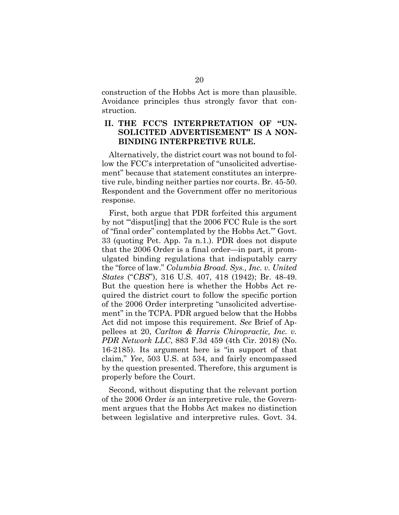construction of the Hobbs Act is more than plausible. Avoidance principles thus strongly favor that construction.

## **II. THE FCC'S INTERPRETATION OF "UN-SOLICITED ADVERTISEMENT" IS A NON-BINDING INTERPRETIVE RULE.**

Alternatively, the district court was not bound to follow the FCC's interpretation of "unsolicited advertisement" because that statement constitutes an interpretive rule, binding neither parties nor courts. Br. 45-50. Respondent and the Government offer no meritorious response.

First, both argue that PDR forfeited this argument by not "'disput[ing] that the 2006 FCC Rule is the sort of "final order" contemplated by the Hobbs Act.'" Govt. 33 (quoting Pet. App. 7a n.1.). PDR does not dispute that the 2006 Order is a final order—in part, it promulgated binding regulations that indisputably carry the "force of law." *Columbia Broad. Sys., Inc. v. United States* ("*CBS*"), 316 U.S. 407, 418 (1942); Br. 48-49. But the question here is whether the Hobbs Act required the district court to follow the specific portion of the 2006 Order interpreting "unsolicited advertisement" in the TCPA. PDR argued below that the Hobbs Act did not impose this requirement. *See* Brief of Appellees at 20, *Carlton & Harris Chiropractic, Inc. v. PDR Network LLC*, 883 F.3d 459 (4th Cir. 2018) (No. 16-2185). Its argument here is "in support of that claim," *Yee*, 503 U.S. at 534, and fairly encompassed by the question presented. Therefore, this argument is properly before the Court.

Second, without disputing that the relevant portion of the 2006 Order *is* an interpretive rule, the Government argues that the Hobbs Act makes no distinction between legislative and interpretive rules. Govt. 34.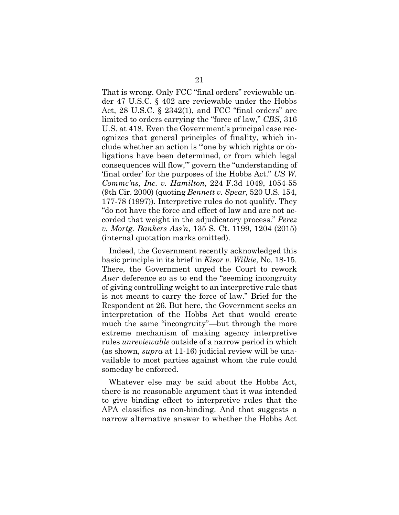That is wrong. Only FCC "final orders" reviewable under 47 U.S.C. § 402 are reviewable under the Hobbs Act,  $28$  U.S.C. §  $2342(1)$ , and FCC "final orders" are limited to orders carrying the "force of law," *CBS*, 316 U.S. at 418. Even the Government's principal case recognizes that general principles of finality, which include whether an action is "'one by which rights or obligations have been determined, or from which legal consequences will flow,'" govern the "understanding of 'final order' for the purposes of the Hobbs Act." *US W. Commc'ns, Inc. v. Hamilton*, 224 F.3d 1049, 1054-55 (9th Cir. 2000) (quoting *Bennett v. Spear*, 520 U.S. 154, 177-78 (1997)). Interpretive rules do not qualify. They "do not have the force and effect of law and are not accorded that weight in the adjudicatory process." *Perez v. Mortg. Bankers Ass'n*, 135 S. Ct. 1199, 1204 (2015) (internal quotation marks omitted).

Indeed, the Government recently acknowledged this basic principle in its brief in *Kisor v. Wilkie*, No. 18-15. There, the Government urged the Court to rework *Auer* deference so as to end the "seeming incongruity of giving controlling weight to an interpretive rule that is not meant to carry the force of law." Brief for the Respondent at 26. But here, the Government seeks an interpretation of the Hobbs Act that would create much the same "incongruity"—but through the more extreme mechanism of making agency interpretive rules *unreviewable* outside of a narrow period in which (as shown, *supra* at 11-16) judicial review will be unavailable to most parties against whom the rule could someday be enforced.

Whatever else may be said about the Hobbs Act, there is no reasonable argument that it was intended to give binding effect to interpretive rules that the APA classifies as non-binding. And that suggests a narrow alternative answer to whether the Hobbs Act